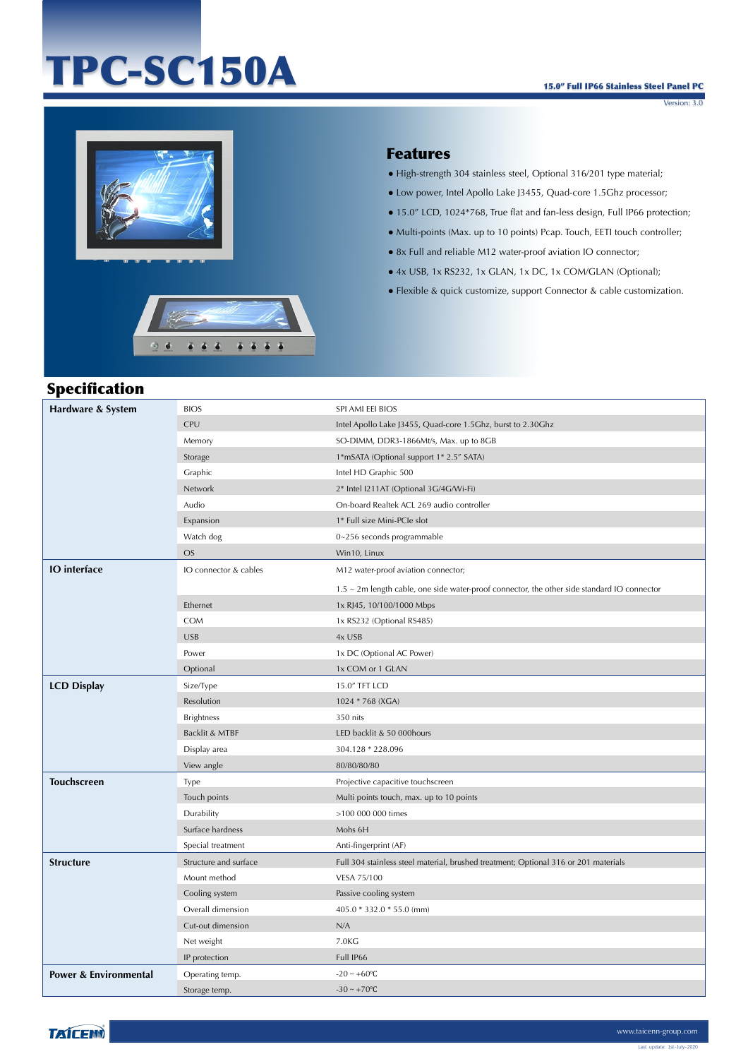# TPC-SC150A

Version: 3.0



 $\ddot{\circ}$  $\ddot{\bullet}$ 



 $4444$ 

 $666$ 

#### Features

- High-strength 304 stainless steel, Optional 316/201 type material;
- Low power, Intel Apollo Lake J3455, Quad-core 1.5Ghz processor;
- 15.0" LCD, 1024\*768, True flat and fan-less design, Full IP66 protection;
- Multi-points (Max. up to 10 points) Pcap. Touch, EETI touch controller;
- 8x Full and reliable M12 water-proof aviation IO connector;
- 4x USB, 1x RS232, 1x GLAN, 1x DC, 1x COM/GLAN (Optional);
- Flexible & quick customize, support Connector & cable customization.

#### Specification

| Hardware & System                | <b>BIOS</b>           | SPI AMI EEI BIOS                                                                            |
|----------------------------------|-----------------------|---------------------------------------------------------------------------------------------|
|                                  | <b>CPU</b>            | Intel Apollo Lake J3455, Quad-core 1.5Ghz, burst to 2.30Ghz                                 |
|                                  | Memory                | SO-DIMM, DDR3-1866Mt/s, Max. up to 8GB                                                      |
|                                  | Storage               | 1*mSATA (Optional support 1* 2.5" SATA)                                                     |
|                                  | Graphic               | Intel HD Graphic 500                                                                        |
|                                  | Network               | 2* Intel I211AT (Optional 3G/4G/Wi-Fi)                                                      |
|                                  | Audio                 | On-board Realtek ACL 269 audio controller                                                   |
|                                  | Expansion             | 1* Full size Mini-PCIe slot                                                                 |
|                                  | Watch dog             | 0~256 seconds programmable                                                                  |
|                                  | <b>OS</b>             | Win10, Linux                                                                                |
| <b>IO</b> interface              | IO connector & cables | M12 water-proof aviation connector;                                                         |
|                                  |                       | 1.5 ~ 2m length cable, one side water-proof connector, the other side standard IO connector |
|                                  | Ethernet              | 1x RJ45, 10/100/1000 Mbps                                                                   |
|                                  | COM                   | 1x RS232 (Optional RS485)                                                                   |
|                                  | <b>USB</b>            | 4x USB                                                                                      |
|                                  | Power                 | 1x DC (Optional AC Power)                                                                   |
|                                  | Optional              | 1x COM or 1 GLAN                                                                            |
| <b>LCD Display</b>               | Size/Type             | 15.0" TFT LCD                                                                               |
|                                  | Resolution            | 1024 * 768 (XGA)                                                                            |
|                                  | <b>Brightness</b>     | 350 nits                                                                                    |
|                                  | Backlit & MTBF        | LED backlit & 50 000hours                                                                   |
|                                  | Display area          | 304.128 * 228.096                                                                           |
|                                  | View angle            | 80/80/80/80                                                                                 |
| <b>Touchscreen</b>               | Type                  | Projective capacitive touchscreen                                                           |
|                                  | Touch points          | Multi points touch, max. up to 10 points                                                    |
|                                  | Durability            | >100 000 000 times                                                                          |
|                                  | Surface hardness      | Mohs 6H                                                                                     |
|                                  | Special treatment     | Anti-fingerprint (AF)                                                                       |
| <b>Structure</b>                 | Structure and surface | Full 304 stainless steel material, brushed treatment; Optional 316 or 201 materials         |
|                                  | Mount method          | VESA 75/100                                                                                 |
|                                  | Cooling system        | Passive cooling system                                                                      |
|                                  | Overall dimension     | 405.0 * 332.0 * 55.0 (mm)                                                                   |
|                                  | Cut-out dimension     | N/A                                                                                         |
|                                  | Net weight            | 7.0KG                                                                                       |
|                                  | IP protection         | Full IP66                                                                                   |
| <b>Power &amp; Environmental</b> | Operating temp.       | $-20 \sim +60$ °C                                                                           |
|                                  | Storage temp.         | $-30 \sim +70$ °C                                                                           |